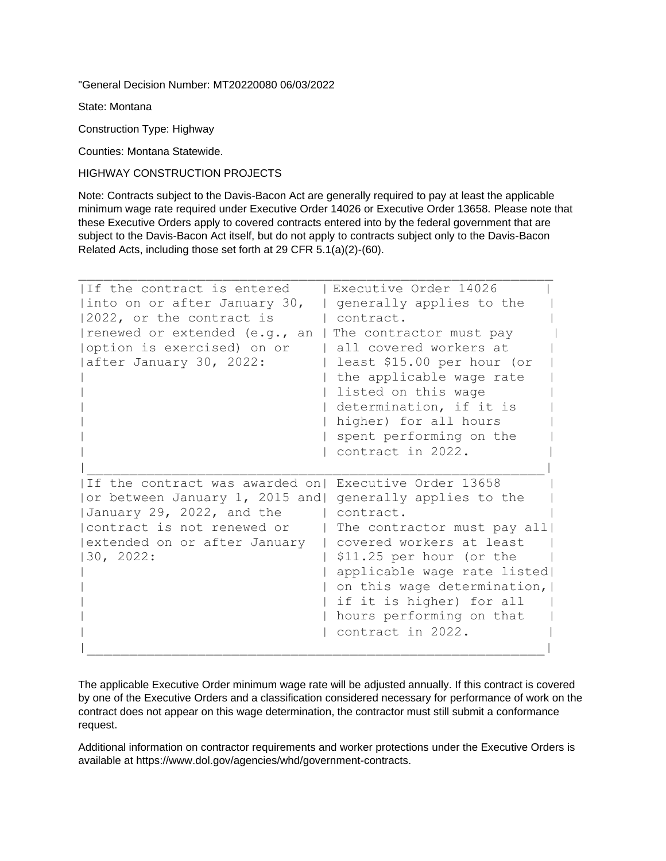"General Decision Number: MT20220080 06/03/2022

State: Montana

Construction Type: Highway

Counties: Montana Statewide.

HIGHWAY CONSTRUCTION PROJECTS

Note: Contracts subject to the Davis-Bacon Act are generally required to pay at least the applicable minimum wage rate required under Executive Order 14026 or Executive Order 13658. Please note that these Executive Orders apply to covered contracts entered into by the federal government that are subject to the Davis-Bacon Act itself, but do not apply to contracts subject only to the Davis-Bacon Related Acts, including those set forth at 29 CFR 5.1(a)(2)-(60).

| If the contract is entered<br>into on or after January 30,<br>2022, or the contract is<br>renewed or extended (e.g., an<br>option is exercised) on or<br>after January 30, 2022: | Executive Order 14026<br>generally applies to the<br>contract.<br>The contractor must pay<br>all covered workers at<br>least \$15.00 per hour (or<br>the applicable wage rate<br>listed on this wage<br>determination, if it is<br>higher) for all hours<br>spent performing on the<br>contract in 2022. |
|----------------------------------------------------------------------------------------------------------------------------------------------------------------------------------|----------------------------------------------------------------------------------------------------------------------------------------------------------------------------------------------------------------------------------------------------------------------------------------------------------|
| If the contract was awarded on!<br>or between January 1, 2015 and <br>January 29, 2022, and the<br> contract is not renewed or<br>extended on or after January<br>30, 2022:      | Executive Order 13658<br>generally applies to the<br>contract.<br>The contractor must pay all<br>covered workers at least<br>\$11.25 per hour (or the<br>applicable wage rate listed<br>on this wage determination,  <br>if it is higher) for all<br>hours performing on that<br>contract in 2022.       |

The applicable Executive Order minimum wage rate will be adjusted annually. If this contract is covered by one of the Executive Orders and a classification considered necessary for performance of work on the contract does not appear on this wage determination, the contractor must still submit a conformance request.

Additional information on contractor requirements and worker protections under the Executive Orders is available at https://www.dol.gov/agencies/whd/government-contracts.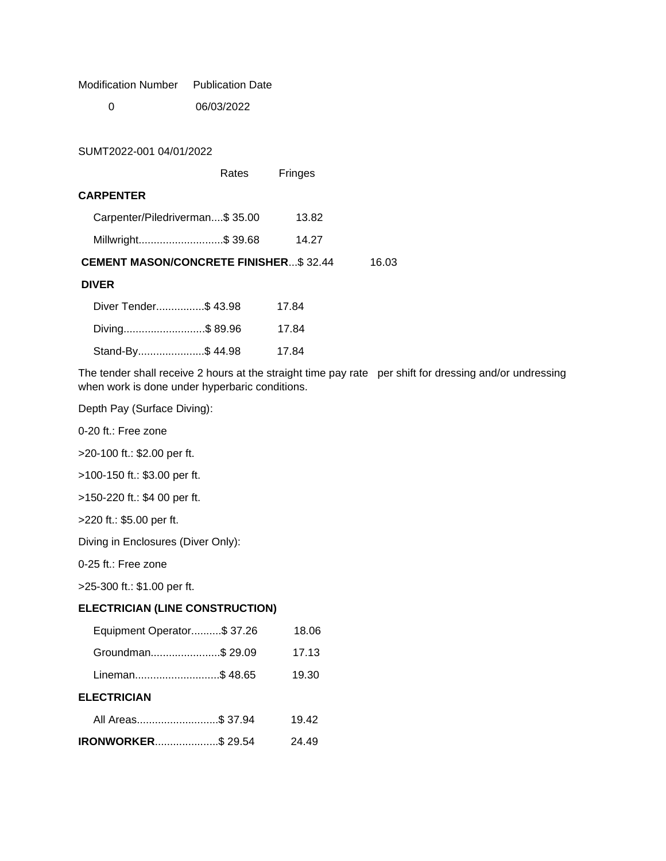Modification Number Publication Date

0 06/03/2022

SUMT2022-001 04/01/2022

Rates Fringes

### **CARPENTER**

| <b>CEMENT MASON/CONCRETE FINISHER\$32.44</b> |       | 16.03 |
|----------------------------------------------|-------|-------|
| Millwright \$ 39.68                          | 14.27 |       |
| Carpenter/Piledriverman\$ 35.00              | 13.82 |       |

### **DIVER**

| Diver Tender\$ 43.98 | 17.84 |
|----------------------|-------|
| Diving\$89.96        | 17.84 |
| Stand-By\$ 44.98     | 17.84 |

The tender shall receive 2 hours at the straight time pay rate per shift for dressing and/or undressing when work is done under hyperbaric conditions.

Depth Pay (Surface Diving):

0-20 ft.: Free zone

>20-100 ft.: \$2.00 per ft.

>100-150 ft.: \$3.00 per ft.

>150-220 ft.: \$4 00 per ft.

>220 ft.: \$5.00 per ft.

Diving in Enclosures (Diver Only):

0-25 ft.: Free zone

>25-300 ft.: \$1.00 per ft.

# **ELECTRICIAN (LINE CONSTRUCTION)**

| Equipment Operator\$ 37.26 |  | 18.06 |
|----------------------------|--|-------|
| Groundman\$ 29.09          |  | 17.13 |
| Lineman\$ 48.65            |  | 19.30 |
| <b>ELECTRICIAN</b>         |  |       |
| All Areas\$ 37.94          |  | 19.42 |
| <b>IRONWORKER\$29.54</b>   |  | 24.49 |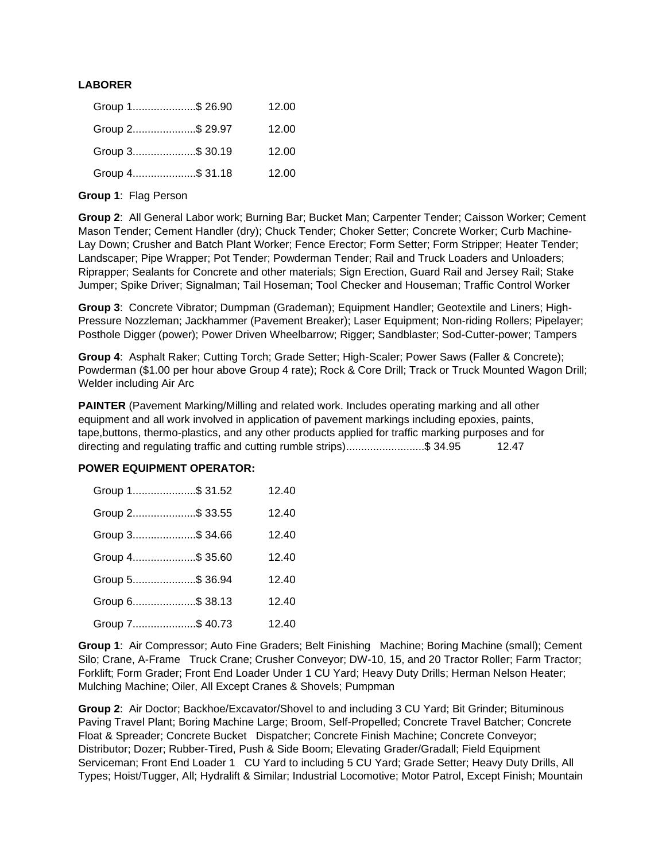# **LABORER**

| Group 1\$ 26.90 | 12.00 |
|-----------------|-------|
| Group 2\$ 29.97 | 12.00 |
| Group 3\$ 30.19 | 12.00 |
| Group 4\$ 31.18 | 12.00 |

**Group 1**: Flag Person

**Group 2**: All General Labor work; Burning Bar; Bucket Man; Carpenter Tender; Caisson Worker; Cement Mason Tender; Cement Handler (dry); Chuck Tender; Choker Setter; Concrete Worker; Curb Machine-Lay Down; Crusher and Batch Plant Worker; Fence Erector; Form Setter; Form Stripper; Heater Tender; Landscaper; Pipe Wrapper; Pot Tender; Powderman Tender; Rail and Truck Loaders and Unloaders; Riprapper; Sealants for Concrete and other materials; Sign Erection, Guard Rail and Jersey Rail; Stake Jumper; Spike Driver; Signalman; Tail Hoseman; Tool Checker and Houseman; Traffic Control Worker

**Group 3**: Concrete Vibrator; Dumpman (Grademan); Equipment Handler; Geotextile and Liners; High-Pressure Nozzleman; Jackhammer (Pavement Breaker); Laser Equipment; Non-riding Rollers; Pipelayer; Posthole Digger (power); Power Driven Wheelbarrow; Rigger; Sandblaster; Sod-Cutter-power; Tampers

**Group 4**: Asphalt Raker; Cutting Torch; Grade Setter; High-Scaler; Power Saws (Faller & Concrete); Powderman (\$1.00 per hour above Group 4 rate); Rock & Core Drill; Track or Truck Mounted Wagon Drill; Welder including Air Arc

**PAINTER** (Pavement Marking/Milling and related work. Includes operating marking and all other equipment and all work involved in application of pavement markings including epoxies, paints, tape,buttons, thermo-plastics, and any other products applied for traffic marking purposes and for directing and regulating traffic and cutting rumble strips)........................\$ 34.95 12.47

### **POWER EQUIPMENT OPERATOR:**

| Group 1\$ 31.52 | 12.40 |
|-----------------|-------|
| Group 2\$ 33.55 | 12.40 |
| Group 3\$ 34.66 | 12.40 |
| Group 4\$ 35.60 | 12.40 |
| Group 5\$ 36.94 | 12.40 |
| Group 6\$ 38.13 | 12.40 |
| Group 7\$ 40.73 | 12.40 |

**Group 1**: Air Compressor; Auto Fine Graders; Belt Finishing Machine; Boring Machine (small); Cement Silo; Crane, A-Frame Truck Crane; Crusher Conveyor; DW-10, 15, and 20 Tractor Roller; Farm Tractor; Forklift; Form Grader; Front End Loader Under 1 CU Yard; Heavy Duty Drills; Herman Nelson Heater; Mulching Machine; Oiler, All Except Cranes & Shovels; Pumpman

**Group 2**: Air Doctor; Backhoe/Excavator/Shovel to and including 3 CU Yard; Bit Grinder; Bituminous Paving Travel Plant; Boring Machine Large; Broom, Self-Propelled; Concrete Travel Batcher; Concrete Float & Spreader; Concrete Bucket Dispatcher; Concrete Finish Machine; Concrete Conveyor; Distributor; Dozer; Rubber-Tired, Push & Side Boom; Elevating Grader/Gradall; Field Equipment Serviceman; Front End Loader 1 CU Yard to including 5 CU Yard; Grade Setter; Heavy Duty Drills, All Types; Hoist/Tugger, All; Hydralift & Similar; Industrial Locomotive; Motor Patrol, Except Finish; Mountain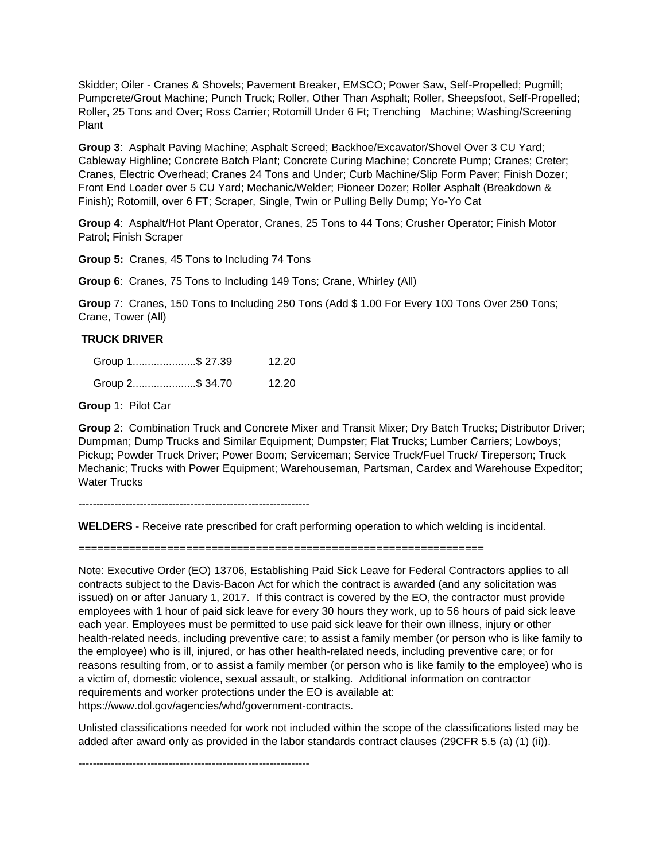Skidder; Oiler - Cranes & Shovels; Pavement Breaker, EMSCO; Power Saw, Self-Propelled; Pugmill; Pumpcrete/Grout Machine; Punch Truck; Roller, Other Than Asphalt; Roller, Sheepsfoot, Self-Propelled; Roller, 25 Tons and Over; Ross Carrier; Rotomill Under 6 Ft; Trenching Machine; Washing/Screening Plant

**Group 3**: Asphalt Paving Machine; Asphalt Screed; Backhoe/Excavator/Shovel Over 3 CU Yard; Cableway Highline; Concrete Batch Plant; Concrete Curing Machine; Concrete Pump; Cranes; Creter; Cranes, Electric Overhead; Cranes 24 Tons and Under; Curb Machine/Slip Form Paver; Finish Dozer; Front End Loader over 5 CU Yard; Mechanic/Welder; Pioneer Dozer; Roller Asphalt (Breakdown & Finish); Rotomill, over 6 FT; Scraper, Single, Twin or Pulling Belly Dump; Yo-Yo Cat

**Group 4**: Asphalt/Hot Plant Operator, Cranes, 25 Tons to 44 Tons; Crusher Operator; Finish Motor Patrol; Finish Scraper

**Group 5:** Cranes, 45 Tons to Including 74 Tons

**Group 6**: Cranes, 75 Tons to Including 149 Tons; Crane, Whirley (All)

**Group** 7: Cranes, 150 Tons to Including 250 Tons (Add \$ 1.00 For Every 100 Tons Over 250 Tons; Crane, Tower (All)

#### **TRUCK DRIVER**

| Group 1\$ 27.39 | 12.20 |
|-----------------|-------|
| Group 2\$ 34.70 | 12.20 |

**Group** 1: Pilot Car

**Group** 2: Combination Truck and Concrete Mixer and Transit Mixer; Dry Batch Trucks; Distributor Driver; Dumpman; Dump Trucks and Similar Equipment; Dumpster; Flat Trucks; Lumber Carriers; Lowboys; Pickup; Powder Truck Driver; Power Boom; Serviceman; Service Truck/Fuel Truck/ Tireperson; Truck Mechanic; Trucks with Power Equipment; Warehouseman, Partsman, Cardex and Warehouse Expeditor; Water Trucks

----------------------------------------------------------------

**WELDERS** - Receive rate prescribed for craft performing operation to which welding is incidental.

================================================================

Note: Executive Order (EO) 13706, Establishing Paid Sick Leave for Federal Contractors applies to all contracts subject to the Davis-Bacon Act for which the contract is awarded (and any solicitation was issued) on or after January 1, 2017. If this contract is covered by the EO, the contractor must provide employees with 1 hour of paid sick leave for every 30 hours they work, up to 56 hours of paid sick leave each year. Employees must be permitted to use paid sick leave for their own illness, injury or other health-related needs, including preventive care; to assist a family member (or person who is like family to the employee) who is ill, injured, or has other health-related needs, including preventive care; or for reasons resulting from, or to assist a family member (or person who is like family to the employee) who is a victim of, domestic violence, sexual assault, or stalking. Additional information on contractor requirements and worker protections under the EO is available at: https://www.dol.gov/agencies/whd/government-contracts.

Unlisted classifications needed for work not included within the scope of the classifications listed may be added after award only as provided in the labor standards contract clauses (29CFR 5.5 (a) (1) (ii)).

----------------------------------------------------------------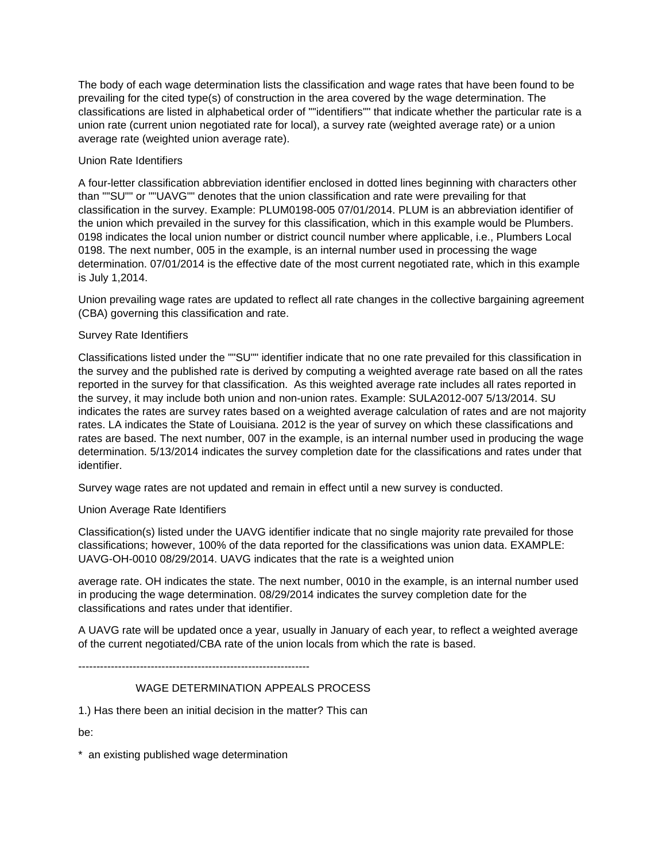The body of each wage determination lists the classification and wage rates that have been found to be prevailing for the cited type(s) of construction in the area covered by the wage determination. The classifications are listed in alphabetical order of ""identifiers"" that indicate whether the particular rate is a union rate (current union negotiated rate for local), a survey rate (weighted average rate) or a union average rate (weighted union average rate).

# Union Rate Identifiers

A four-letter classification abbreviation identifier enclosed in dotted lines beginning with characters other than ""SU"" or ""UAVG"" denotes that the union classification and rate were prevailing for that classification in the survey. Example: PLUM0198-005 07/01/2014. PLUM is an abbreviation identifier of the union which prevailed in the survey for this classification, which in this example would be Plumbers. 0198 indicates the local union number or district council number where applicable, i.e., Plumbers Local 0198. The next number, 005 in the example, is an internal number used in processing the wage determination. 07/01/2014 is the effective date of the most current negotiated rate, which in this example is July 1,2014.

Union prevailing wage rates are updated to reflect all rate changes in the collective bargaining agreement (CBA) governing this classification and rate.

### Survey Rate Identifiers

Classifications listed under the ""SU"" identifier indicate that no one rate prevailed for this classification in the survey and the published rate is derived by computing a weighted average rate based on all the rates reported in the survey for that classification. As this weighted average rate includes all rates reported in the survey, it may include both union and non-union rates. Example: SULA2012-007 5/13/2014. SU indicates the rates are survey rates based on a weighted average calculation of rates and are not majority rates. LA indicates the State of Louisiana. 2012 is the year of survey on which these classifications and rates are based. The next number, 007 in the example, is an internal number used in producing the wage determination. 5/13/2014 indicates the survey completion date for the classifications and rates under that identifier.

Survey wage rates are not updated and remain in effect until a new survey is conducted.

# Union Average Rate Identifiers

Classification(s) listed under the UAVG identifier indicate that no single majority rate prevailed for those classifications; however, 100% of the data reported for the classifications was union data. EXAMPLE: UAVG-OH-0010 08/29/2014. UAVG indicates that the rate is a weighted union

average rate. OH indicates the state. The next number, 0010 in the example, is an internal number used in producing the wage determination. 08/29/2014 indicates the survey completion date for the classifications and rates under that identifier.

A UAVG rate will be updated once a year, usually in January of each year, to reflect a weighted average of the current negotiated/CBA rate of the union locals from which the rate is based.

----------------------------------------------------------------

# WAGE DETERMINATION APPEALS PROCESS

1.) Has there been an initial decision in the matter? This can

be:

\* an existing published wage determination